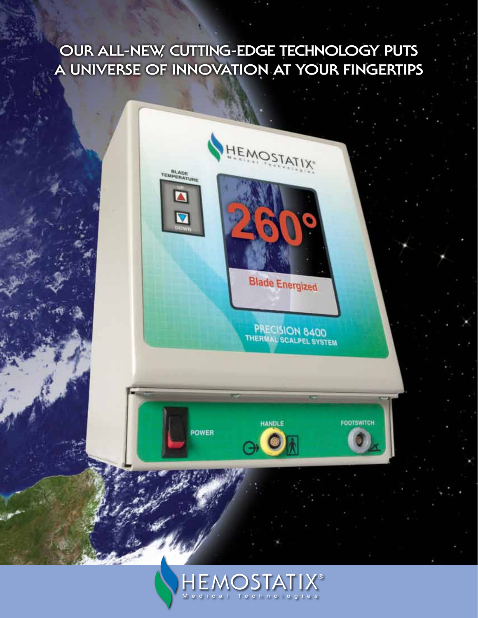## **OUR ALL-NEW, Cutting-Edge Technology PUTS A UNIVERSE OF INNOVATION AT YOUR FINGERTIPS**

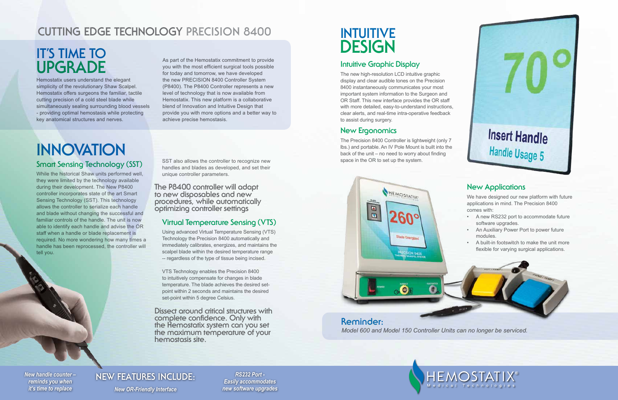## **Reminder:**  *Model 600 and Model 150 Controller Units can no longer be serviced.*



Hemostatix users understand the elegant simplicity of the revolutionary Shaw Scalpel. Hemostatix offers surgeons the familiar, tactile cutting precision of a cold steel blade while simultaneously sealing surrounding blood vessels - providing optimal hemostasis while protecting key anatomical structures and nerves.

## **Intuitive Graphic Display**

The new high-resolution LCD intuitive graphic display and clear audible tones on the Precision 8400 instantaneously communicates your most important system information to the Surgeon and OR Staff. This new interface provides the OR staff with more detailed, easy-to-understand instructions, clear alerts, and real-time intra-operative feedback to assist during surgery.

## **New Ergonomics**

The Precision 8400 Controller is lightweight (only 7 lbs.) and portable. An IV Pole Mount is built into the back of the unit – no need to worry about finding space in the OR to set up the system.

We have designed our new platform with future

- 
- 
- 



### **Smart Sensing Technology (SST)**

SST also allows the controller to recognize new handles and blades as developed, and set their unique controller parameters.

While the historical Shaw units performed well, they were limited by the technology available during their development. The New P8400 controller incorporates state of the art Smart Sensing Technology (SST). This technology allows the controller to serialize each handle and blade without changing the successful and familiar controls of the handle. The unit is now able to identify each handle and advise the OR staff when a handle or blade replacement is required. No more wondering how many times a handle has been reprocessed, the controller will tell you.

> *RS232 Port - Easily accommodates new software upgrades*

# **Insert Handle** Handle Usage 5

*New handle counter – reminds you when*

*it's time to replace New OR-Friendly Interface*

## **NEW FEATURES INCLUDE:**

## **IT'S TIME TO UPGRADE**

## **INTUITIVE DESIGN**

# **INNOVATION**

As part of the Hemostatix commitment to provide you with the most efficient surgical tools possible for today and tomorrow, we have developed the new PRECISION 8400 Controller System (P8400). The P8400 Controller represents a new level of technology that is now available from Hemostatix. This new platform is a collaborative blend of Innovation and Intuitive Design that provide you with more options and a better way to achieve precise hemostasis.

## **CUTTING EDGE TECHNOLOGY PRECISION 8400**

## **Virtual Temperature Sensing (VTS)**

Using advanced Virtual Temperature Sensing (VTS) Technology the Precision 8400 automatically and immediately calibrates, energizes, and maintains the scalpel blade within the desired temperature range -- regardless of the type of tissue being incised.

VTS Technology enables the Precision 8400 to intuitively compensate for changes in blade temperature. The blade achieves the desired setpoint within 2 seconds and maintains the desired set-point within 5 degree Celsius.

**The P8400 controller will adapt to new disposables and new procedures, while automatically optimizing controller settings**

**Dissect around critical structures with complete confidence. Only with the Hemostatix system can you set the maximum temperature of your hemostasis site.**